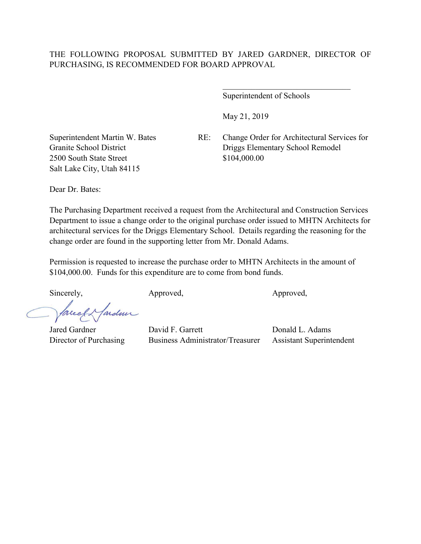Superintendent of Schools

May 21, 2019

Granite School District 2500 South State Street Salt Lake City, Utah 84115

Superintendent Martin W. Bates RE: Change Order for Architectural Services for Driggs Elementary School Remodel \$104,000.00

 $\mathcal{L}_\text{max}$  , and the set of the set of the set of the set of the set of the set of the set of the set of the set of the set of the set of the set of the set of the set of the set of the set of the set of the set of the

Dear Dr. Bates:

The Purchasing Department received a request from the Architectural and Construction Services Department to issue a change order to the original purchase order issued to MHTN Architects for architectural services for the Driggs Elementary School. Details regarding the reasoning for the change order are found in the supporting letter from Mr. Donald Adams.

Permission is requested to increase the purchase order to MHTN Architects in the amount of \$104,000.00. Funds for this expenditure are to come from bond funds.

Sincerely, Approved, Approved, Approved,

facely farden

Jared Gardner David F. Garrett Donald L. Adams Director of Purchasing Business Administrator/Treasurer Assistant Superintendent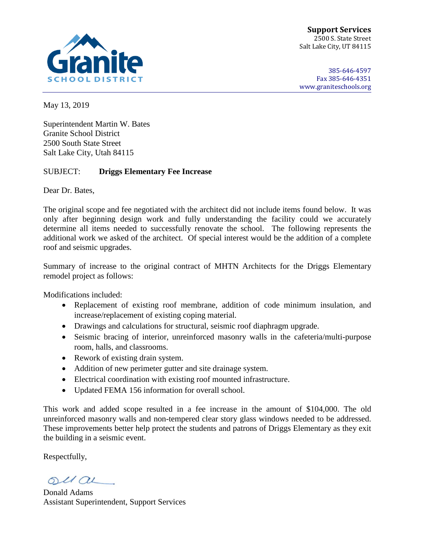

**Support Services** 2500 S. State Street Salt Lake City, UT 84115

385-646-4597 Fax 385-646-4351 [www.graniteschools.org](http://www.graniteschools.org/)

May 13, 2019

Superintendent Martin W. Bates Granite School District 2500 South State Street Salt Lake City, Utah 84115

## SUBJECT: **Driggs Elementary Fee Increase**

Dear Dr. Bates,

The original scope and fee negotiated with the architect did not include items found below. It was only after beginning design work and fully understanding the facility could we accurately determine all items needed to successfully renovate the school. The following represents the additional work we asked of the architect. Of special interest would be the addition of a complete roof and seismic upgrades.

Summary of increase to the original contract of MHTN Architects for the Driggs Elementary remodel project as follows:

Modifications included:

- Replacement of existing roof membrane, addition of code minimum insulation, and increase/replacement of existing coping material.
- Drawings and calculations for structural, seismic roof diaphragm upgrade.
- Seismic bracing of interior, unreinforced masonry walls in the cafeteria/multi-purpose room, halls, and classrooms.
- Rework of existing drain system.
- Addition of new perimeter gutter and site drainage system.
- Electrical coordination with existing roof mounted infrastructure.
- Updated FEMA 156 information for overall school.

This work and added scope resulted in a fee increase in the amount of \$104,000. The old unreinforced masonry walls and non-tempered clear story glass windows needed to be addressed. These improvements better help protect the students and patrons of Driggs Elementary as they exit the building in a seismic event.

Respectfully,

oual

Donald Adams Assistant Superintendent, Support Services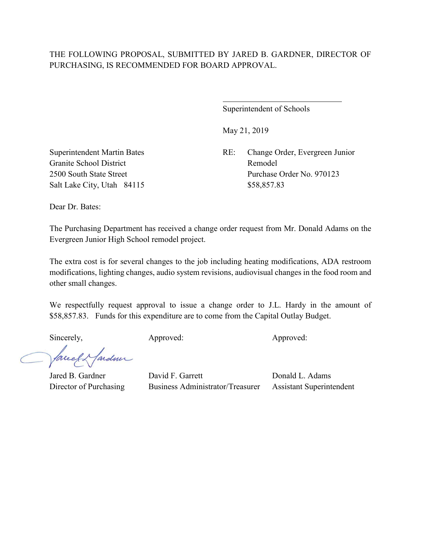## THE FOLLOWING PROPOSAL, SUBMITTED BY JARED B. GARDNER, DIRECTOR OF PURCHASING, IS RECOMMENDED FOR BOARD APPROVAL.

 $\overline{a}$ 

Superintendent of Schools

May 21, 2019

Superintendent Martin Bates RE: Change Order, Evergreen Junior 2500 South State Street Purchase Order No. 970123

Granite School District Remodel Salt Lake City, Utah 84115 \$58,857.83

Dear Dr. Bates:

The Purchasing Department has received a change order request from Mr. Donald Adams on the Evergreen Junior High School remodel project.

The extra cost is for several changes to the job including heating modifications, ADA restroom modifications, lighting changes, audio system revisions, audiovisual changes in the food room and other small changes.

We respectfully request approval to issue a change order to J.L. Hardy in the amount of \$58,857.83. Funds for this expenditure are to come from the Capital Outlay Budget.

Sincerely, Approved: Approved: Approved: Approved:

facely fardun

Jared B. Gardner David F. Garrett Donald L. Adams Director of Purchasing Business Administrator/Treasurer Assistant Superintendent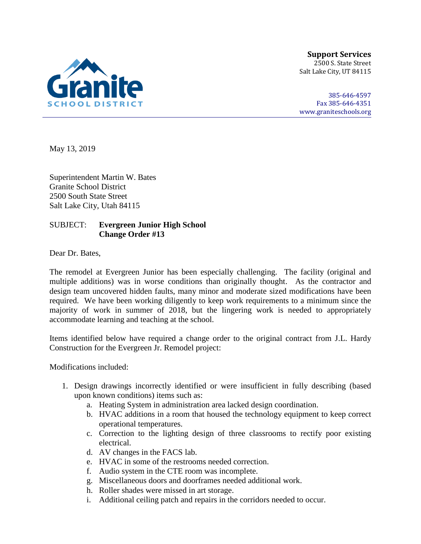

**Support Services** 2500 S. State Street Salt Lake City, UT 84115

385-646-4597 Fax 385-646-4351 [www.graniteschools.org](http://www.graniteschools.org/)

May 13, 2019

Superintendent Martin W. Bates Granite School District 2500 South State Street Salt Lake City, Utah 84115

## SUBJECT: **Evergreen Junior High School Change Order #13**

Dear Dr. Bates,

The remodel at Evergreen Junior has been especially challenging. The facility (original and multiple additions) was in worse conditions than originally thought. As the contractor and design team uncovered hidden faults, many minor and moderate sized modifications have been required. We have been working diligently to keep work requirements to a minimum since the majority of work in summer of 2018, but the lingering work is needed to appropriately accommodate learning and teaching at the school.

Items identified below have required a change order to the original contract from J.L. Hardy Construction for the Evergreen Jr. Remodel project:

Modifications included:

- 1. Design drawings incorrectly identified or were insufficient in fully describing (based upon known conditions) items such as:
	- a. Heating System in administration area lacked design coordination.
	- b. HVAC additions in a room that housed the technology equipment to keep correct operational temperatures.
	- c. Correction to the lighting design of three classrooms to rectify poor existing electrical.
	- d. AV changes in the FACS lab.
	- e. HVAC in some of the restrooms needed correction.
	- f. Audio system in the CTE room was incomplete.
	- g. Miscellaneous doors and doorframes needed additional work.
	- h. Roller shades were missed in art storage.
	- i. Additional ceiling patch and repairs in the corridors needed to occur.